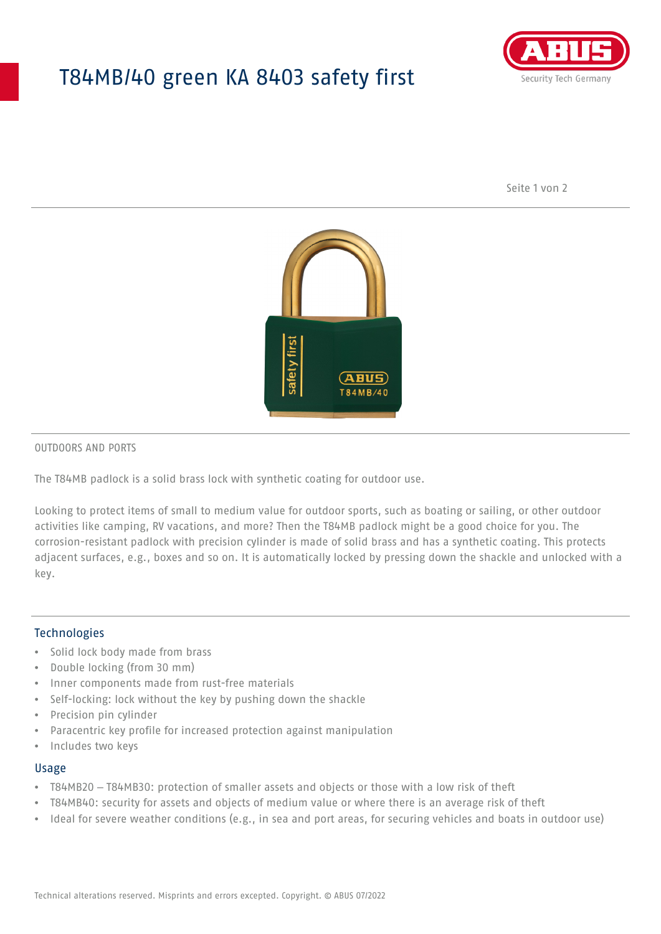## T84MB/40 green KA 8403 safety first



Seite 1 von 2



#### OUTDOORS AND PORTS

The T84MB padlock is a solid brass lock with synthetic coating for outdoor use.

Looking to protect items of small to medium value for outdoor sports, such as boating or sailing, or other outdoor activities like camping, RV vacations, and more? Then the T84MB padlock might be a good choice for you. The corrosion-resistant padlock with precision cylinder is made of solid brass and has a synthetic coating. This protects adjacent surfaces, e.g., boxes and so on. It is automatically locked by pressing down the shackle and unlocked with a key.

#### Technologies

- Solid lock body made from brass
- Double locking (from 30 mm)
- Inner components made from rust-free materials
- Self-locking: lock without the key by pushing down the shackle
- Precision pin cylinder
- Paracentric key profile for increased protection against manipulation
- Includes two keys

#### Usage

- T84MB20 T84MB30: protection of smaller assets and objects or those with a low risk of theft
- T84MB40: security for assets and objects of medium value or where there is an average risk of theft
- Ideal for severe weather conditions (e.g., in sea and port areas, for securing vehicles and boats in outdoor use)